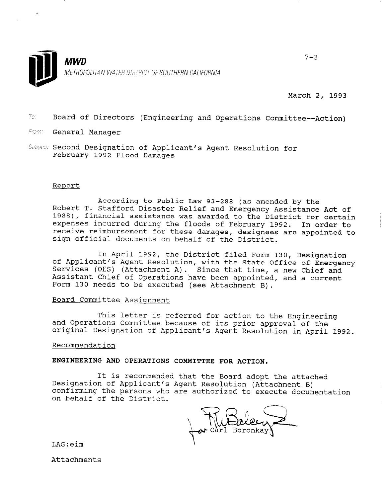

March 2, 1993

 $7 - 3$ 

- 72. Board of Directors (Engineering and Operations Committee--Action)
- From: General Manager
- Subject: Second Designation of Applicant's Agent Resolution for February 1992 Flood Damages

#### Report

nootaing to fatito haw is 200 (as amended by the<br>Robert T. Stafford Disaster Pelief and Emergency Assistance Act of According to Public Law 93-288 (as amended by the 1988), financial assistance was awarded to the District for certain expenses incurred during the floods of February 1992. In order to receive reimbursement for these damages, designees are appointed to sign official documents on behalf of the District.

In April 1992, the District filed Form 130, Designation In April 1992, the District Tited form 190, Designation<br>Of Applicant's Agent Resolution, with the State Office of Emergency Services (OES) (Attachment A). Since that time, a new Chief and Assistant Chief of Operations have been appointed, and a current Form 130 needs to be executed (see Attachment B).

### Board Committee Assignment

 $\mathbb{R}$  letter is referred for action to the  $\mathbb{R}$ and Operations Committee because of its prior approximately and Operations Committee because of its prior approval of the<br>original Designation of Applicant's Agent Resolution in April 1992.

#### Recommendation

### ENGINEERING AND OPERATIONS COMMITTEE FOR ACTION.

It is recommended that the Board adopt the attached Let is recommended that the Board adopt the attachment Applicant Resolution (Attachment B) is a set of  $\mathbb{R}$ Designation of Applicant's Agent Resolution (Attachment B) confirming the persons who are authorized to execute documentation<br>on behalf of the District.

LAG:eim

Attachments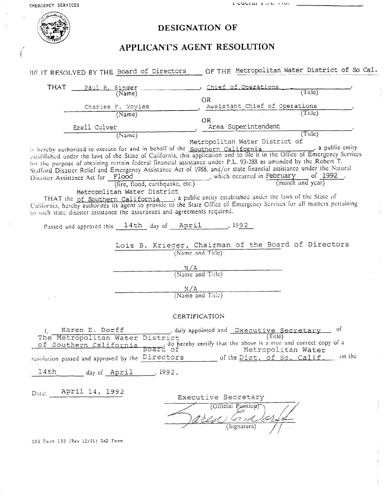EMERGENCY SERVICES

POUCHAL FIRE HOLL INC.



### DESIGNATION OF

# APPLICANT'S AGENT RESOLUTION

| BE IT RESOLVED BY THE Board of Directors                                                                                                                                                                                                                                                                                                                                                                                                                                                                                                                                                                                                                                                                                                                                                                                                                                                                                     | OF THE Metropolitan Water District of So Cal.                     |
|------------------------------------------------------------------------------------------------------------------------------------------------------------------------------------------------------------------------------------------------------------------------------------------------------------------------------------------------------------------------------------------------------------------------------------------------------------------------------------------------------------------------------------------------------------------------------------------------------------------------------------------------------------------------------------------------------------------------------------------------------------------------------------------------------------------------------------------------------------------------------------------------------------------------------|-------------------------------------------------------------------|
| THAT<br><b>Paul R. Singer</b><br>(Name)                                                                                                                                                                                                                                                                                                                                                                                                                                                                                                                                                                                                                                                                                                                                                                                                                                                                                      | p Chief of Operations<br>(Title)                                  |
| Charles F. Voyles                                                                                                                                                                                                                                                                                                                                                                                                                                                                                                                                                                                                                                                                                                                                                                                                                                                                                                            | OR.<br>Assistant Chief of Operations                              |
| (Name)                                                                                                                                                                                                                                                                                                                                                                                                                                                                                                                                                                                                                                                                                                                                                                                                                                                                                                                       | (Tille)                                                           |
| Ezell Culver                                                                                                                                                                                                                                                                                                                                                                                                                                                                                                                                                                                                                                                                                                                                                                                                                                                                                                                 | OR.<br>Area Superintendent                                        |
| (Name)                                                                                                                                                                                                                                                                                                                                                                                                                                                                                                                                                                                                                                                                                                                                                                                                                                                                                                                       | (Title)                                                           |
| is hereby authorized to execute for and in behalf of the <u>Southern California</u> , a public entity<br>established under the laws of the State of California, this application and to file it in the Office of Emergency Services<br>for the purpose of obtaining certain federal financial assistance under P.L. 93-288 as amended by the Robert T.<br>Stafford Disaster Relief and Emergency Assistance Act of 1988, and/or state financial assistance under the Natural<br>Disaster Assistance Act for Flood (fire, flood, earthquake, etc.) which occurred in February of 1992.<br>Metropolitan Water District<br>THAT the of Southern California , a public entity established under the laws of the State of<br>California, hereby authorizes its agent to provide to the State Office of Emergency Services for all matters pertaining<br>to such state disaster assistance the assurances and agreements required. | Metropolitan Water District of                                    |
| Passed and approved this 14th day of April 1992                                                                                                                                                                                                                                                                                                                                                                                                                                                                                                                                                                                                                                                                                                                                                                                                                                                                              |                                                                   |
| (Name and Title)                                                                                                                                                                                                                                                                                                                                                                                                                                                                                                                                                                                                                                                                                                                                                                                                                                                                                                             | Lois B. Krieger, Chairman of the Board of Directors               |
|                                                                                                                                                                                                                                                                                                                                                                                                                                                                                                                                                                                                                                                                                                                                                                                                                                                                                                                              | $\frac{N/A}{(Name and Title)}$                                    |
|                                                                                                                                                                                                                                                                                                                                                                                                                                                                                                                                                                                                                                                                                                                                                                                                                                                                                                                              | $\frac{N/A}{(Name \text{ and } Title)}$                           |
| CERTIFICATION                                                                                                                                                                                                                                                                                                                                                                                                                                                                                                                                                                                                                                                                                                                                                                                                                                                                                                                |                                                                   |
| I, Karen E. Dorff (Illy appointed and Executive Secretary of The Metropolitan Water District (Title)<br>Of Southern California Board of thereby certify that the above is a true and correct copy of a<br>Metropolitan Water<br>of Southern California<br>resolution passed and approved by the Directors                                                                                                                                                                                                                                                                                                                                                                                                                                                                                                                                                                                                                    | Metropolitan Water<br>of the <u>Dist. of So. Calif</u> on the     |
| 14th<br>day of April 1992.                                                                                                                                                                                                                                                                                                                                                                                                                                                                                                                                                                                                                                                                                                                                                                                                                                                                                                   |                                                                   |
| Date: April 14, 1992                                                                                                                                                                                                                                                                                                                                                                                                                                                                                                                                                                                                                                                                                                                                                                                                                                                                                                         | Executive Secretary<br>(Official Position)<br>aren<br>(Signature) |

OES Form 130 (Rev 12/91) DAD Form